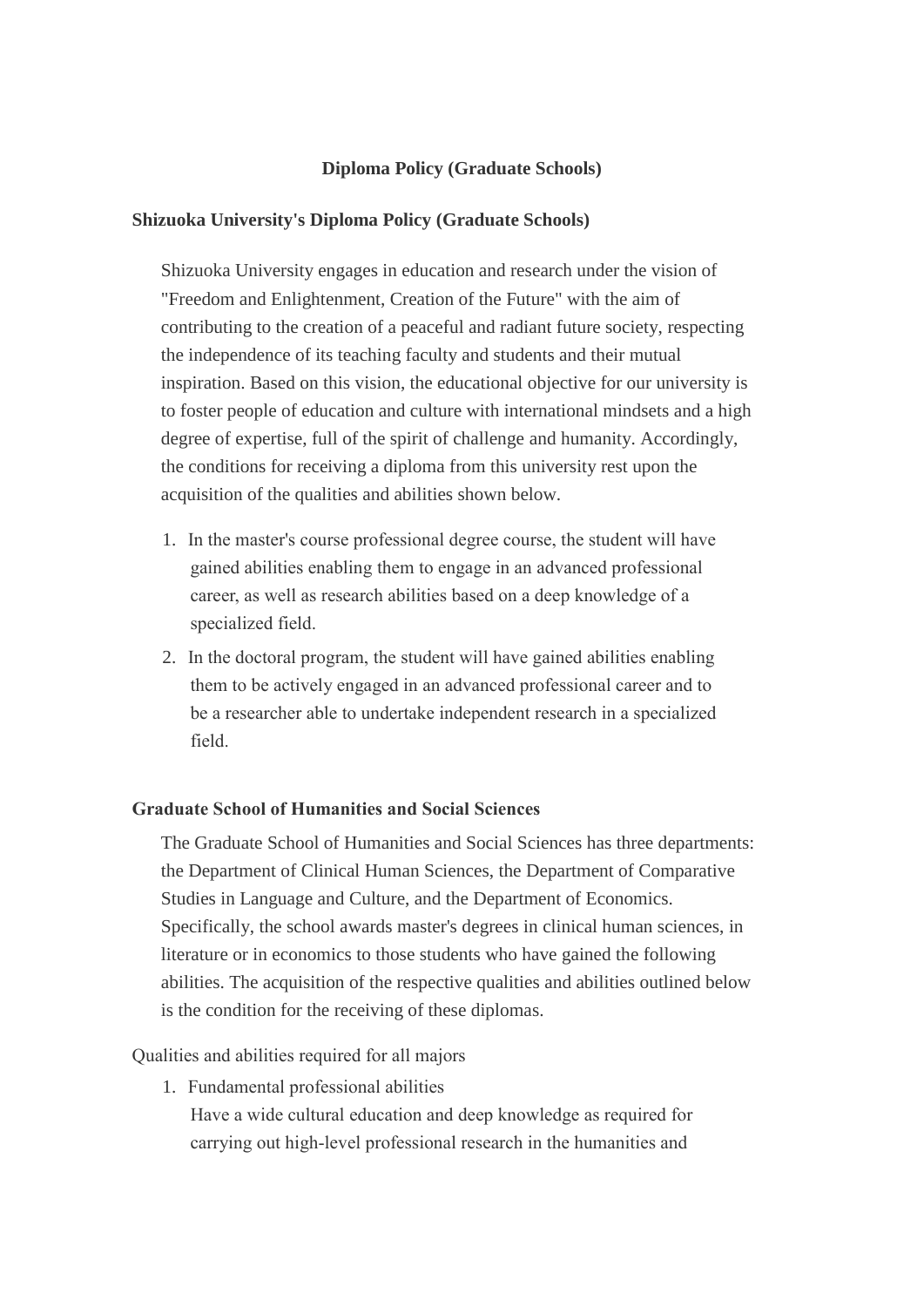#### **Diploma Policy (Graduate Schools)**

#### **Shizuoka University's Diploma Policy (Graduate Schools)**

Shizuoka University engages in education and research under the vision of "Freedom and Enlightenment, Creation of the Future" with the aim of contributing to the creation of a peaceful and radiant future society, respecting the independence of its teaching faculty and students and their mutual inspiration. Based on this vision, the educational objective for our university is to foster people of education and culture with international mindsets and a high degree of expertise, full of the spirit of challenge and humanity. Accordingly, the conditions for receiving a diploma from this university rest upon the acquisition of the qualities and abilities shown below.

- 1. In the master's course professional degree course, the student will have gained abilities enabling them to engage in an advanced professional career, as well as research abilities based on a deep knowledge of a specialized field.
- 2. In the doctoral program, the student will have gained abilities enabling them to be actively engaged in an advanced professional career and to be a researcher able to undertake independent research in a specialized field.

#### **Graduate School of Humanities and Social Sciences**

The Graduate School of Humanities and Social Sciences has three departments: the Department of Clinical Human Sciences, the Department of Comparative Studies in Language and Culture, and the Department of Economics. Specifically, the school awards master's degrees in clinical human sciences, in literature or in economics to those students who have gained the following abilities. The acquisition of the respective qualities and abilities outlined below is the condition for the receiving of these diplomas.

#### Qualities and abilities required for all majors

1. Fundamental professional abilities Have a wide cultural education and deep knowledge as required for carrying out high-level professional research in the humanities and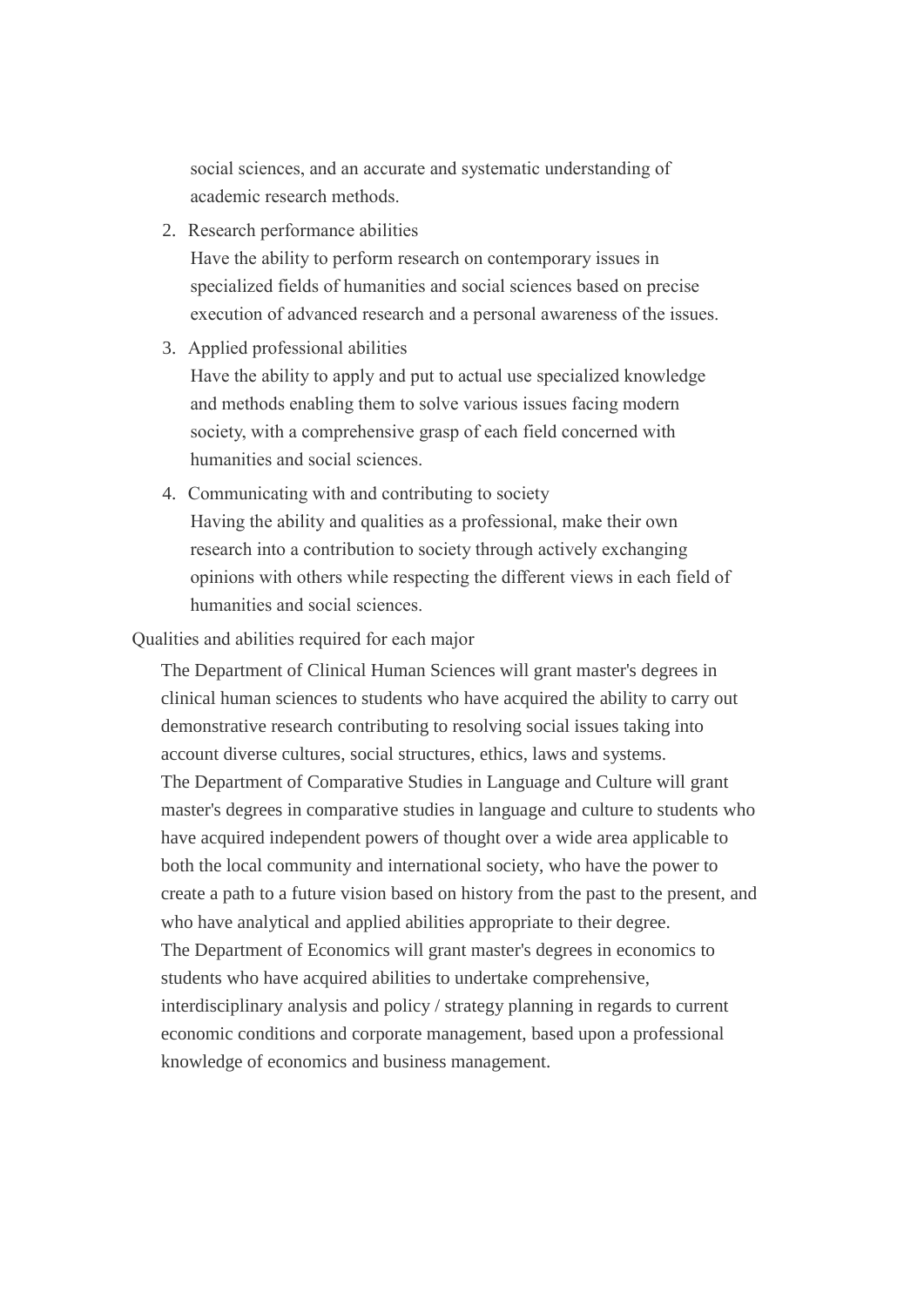social sciences, and an accurate and systematic understanding of academic research methods.

2. Research performance abilities

Have the ability to perform research on contemporary issues in specialized fields of humanities and social sciences based on precise execution of advanced research and a personal awareness of the issues.

3. Applied professional abilities

Have the ability to apply and put to actual use specialized knowledge and methods enabling them to solve various issues facing modern society, with a comprehensive grasp of each field concerned with humanities and social sciences.

4. Communicating with and contributing to society Having the ability and qualities as a professional, make their own research into a contribution to society through actively exchanging opinions with others while respecting the different views in each field of humanities and social sciences.

Qualities and abilities required for each major

The Department of Clinical Human Sciences will grant master's degrees in clinical human sciences to students who have acquired the ability to carry out demonstrative research contributing to resolving social issues taking into account diverse cultures, social structures, ethics, laws and systems. The Department of Comparative Studies in Language and Culture will grant master's degrees in comparative studies in language and culture to students who have acquired independent powers of thought over a wide area applicable to both the local community and international society, who have the power to create a path to a future vision based on history from the past to the present, and who have analytical and applied abilities appropriate to their degree. The Department of Economics will grant master's degrees in economics to students who have acquired abilities to undertake comprehensive, interdisciplinary analysis and policy / strategy planning in regards to current economic conditions and corporate management, based upon a professional knowledge of economics and business management.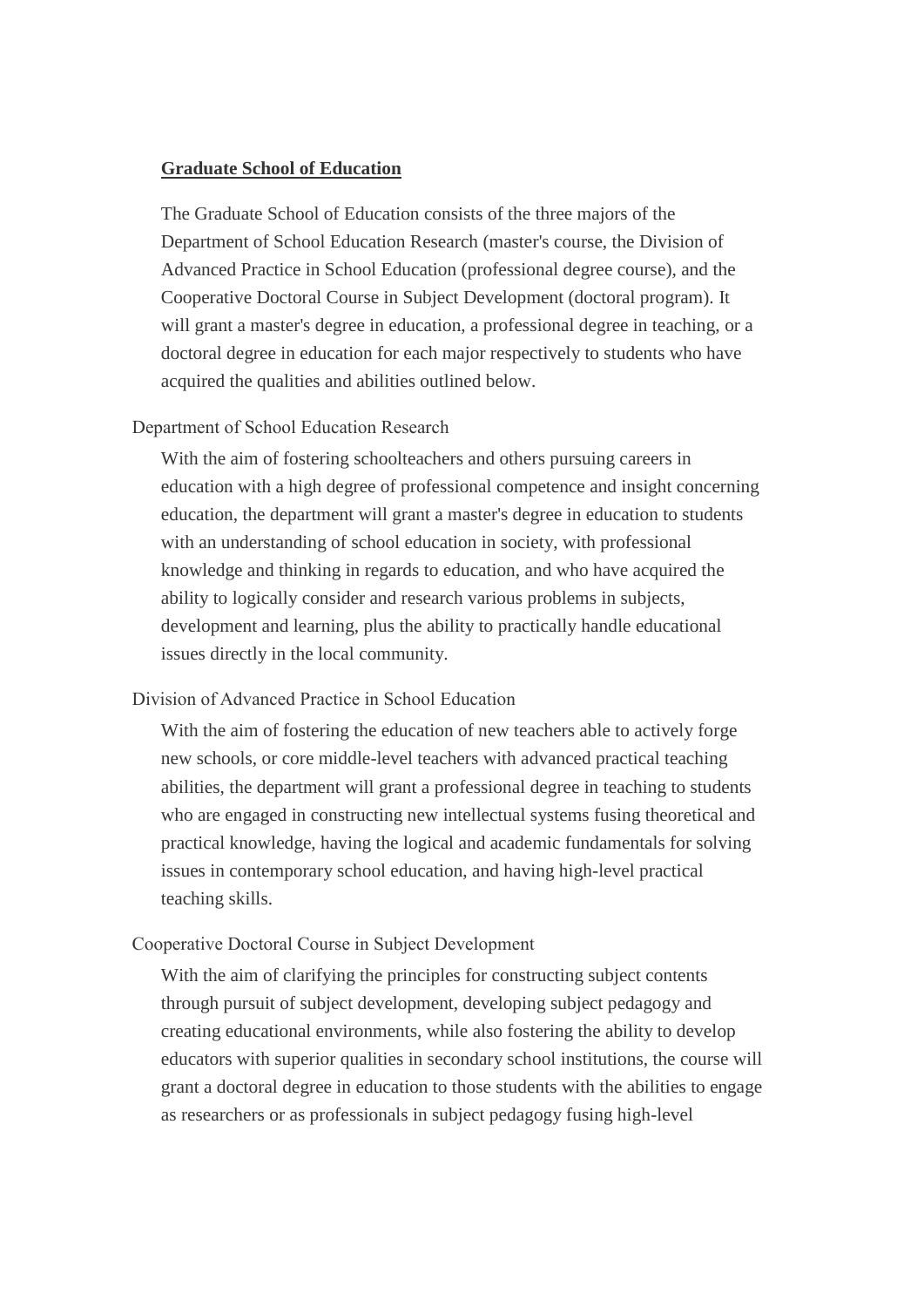#### **Graduate School of Education**

The Graduate School of Education consists of the three majors of the Department of School Education Research (master's course, the Division of Advanced Practice in School Education (professional degree course), and the Cooperative Doctoral Course in Subject Development (doctoral program). It will grant a master's degree in education, a professional degree in teaching, or a doctoral degree in education for each major respectively to students who have acquired the qualities and abilities outlined below.

Department of School Education Research

With the aim of fostering schoolteachers and others pursuing careers in education with a high degree of professional competence and insight concerning education, the department will grant a master's degree in education to students with an understanding of school education in society, with professional knowledge and thinking in regards to education, and who have acquired the ability to logically consider and research various problems in subjects, development and learning, plus the ability to practically handle educational issues directly in the local community.

#### Division of Advanced Practice in School Education

With the aim of fostering the education of new teachers able to actively forge new schools, or core middle-level teachers with advanced practical teaching abilities, the department will grant a professional degree in teaching to students who are engaged in constructing new intellectual systems fusing theoretical and practical knowledge, having the logical and academic fundamentals for solving issues in contemporary school education, and having high-level practical teaching skills.

#### Cooperative Doctoral Course in Subject Development

With the aim of clarifying the principles for constructing subject contents through pursuit of subject development, developing subject pedagogy and creating educational environments, while also fostering the ability to develop educators with superior qualities in secondary school institutions, the course will grant a doctoral degree in education to those students with the abilities to engage as researchers or as professionals in subject pedagogy fusing high-level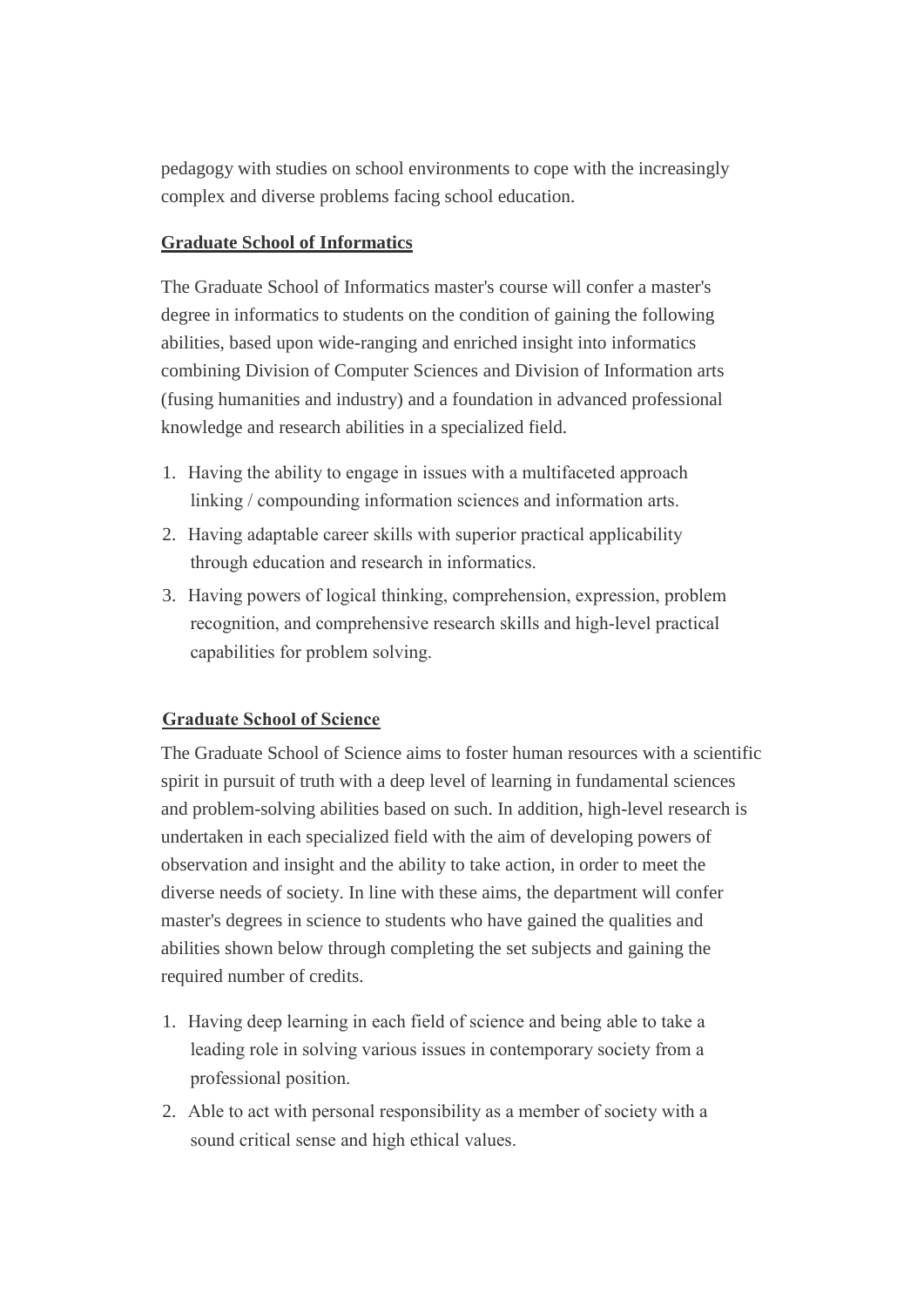pedagogy with studies on school environments to cope with the increasingly complex and diverse problems facing school education.

## **Graduate School of Informatics**

The Graduate School of Informatics master's course will confer a master's degree in informatics to students on the condition of gaining the following abilities, based upon wide-ranging and enriched insight into informatics combining Division of Computer Sciences and Division of Information arts (fusing humanities and industry) and a foundation in advanced professional knowledge and research abilities in a specialized field.

- 1. Having the ability to engage in issues with a multifaceted approach linking / compounding information sciences and information arts.
- 2. Having adaptable career skills with superior practical applicability through education and research in informatics.
- 3. Having powers of logical thinking, comprehension, expression, problem recognition, and comprehensive research skills and high-level practical capabilities for problem solving.

# **Graduate School of Science**

The Graduate School of Science aims to foster human resources with a scientific spirit in pursuit of truth with a deep level of learning in fundamental sciences and problem-solving abilities based on such. In addition, high-level research is undertaken in each specialized field with the aim of developing powers of observation and insight and the ability to take action, in order to meet the diverse needs of society. In line with these aims, the department will confer master's degrees in science to students who have gained the qualities and abilities shown below through completing the set subjects and gaining the required number of credits.

- 1. Having deep learning in each field of science and being able to take a leading role in solving various issues in contemporary society from a professional position.
- 2. Able to act with personal responsibility as a member of society with a sound critical sense and high ethical values.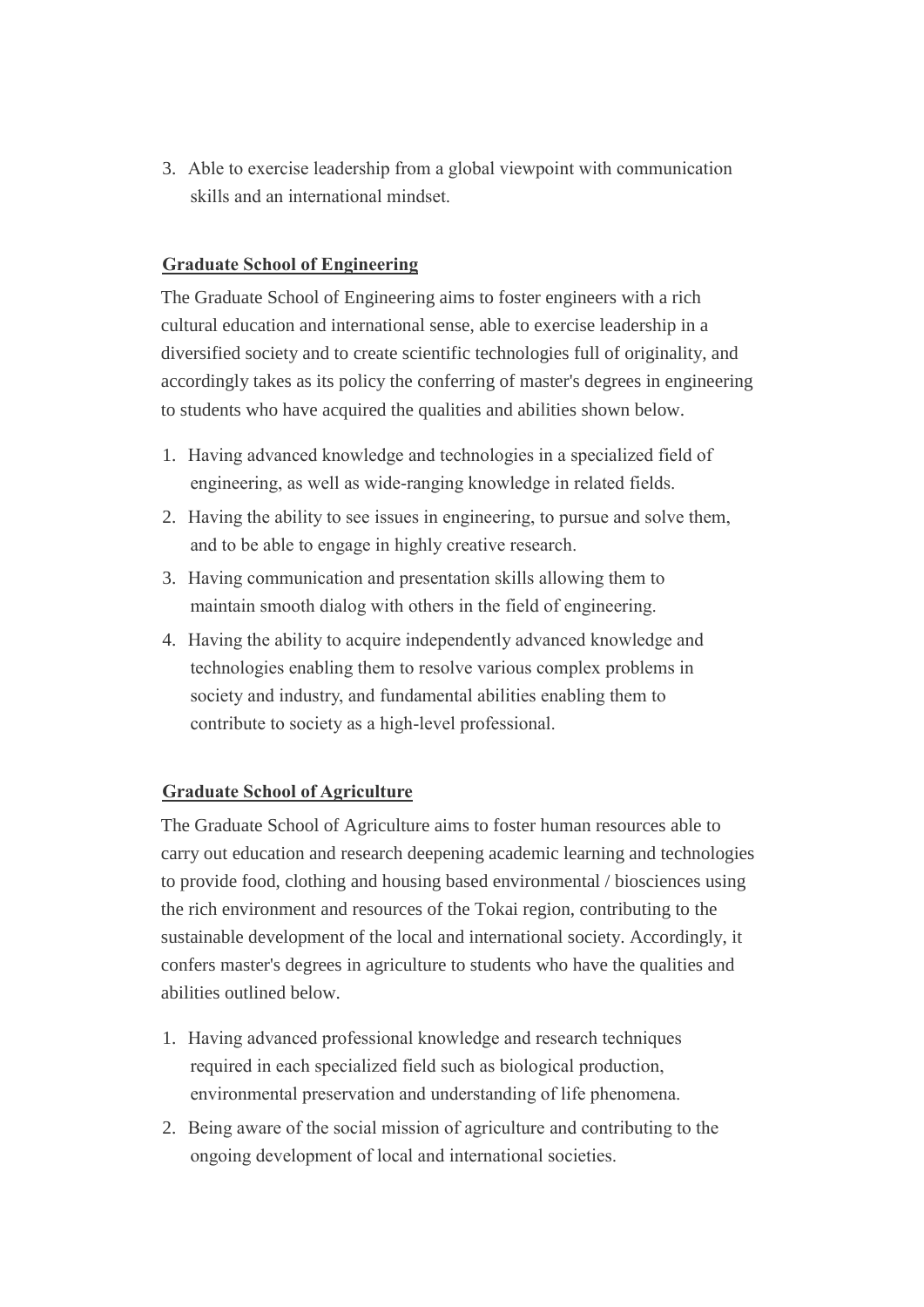3. Able to exercise leadership from a global viewpoint with communication skills and an international mindset.

## **Graduate School of Engineering**

The Graduate School of Engineering aims to foster engineers with a rich cultural education and international sense, able to exercise leadership in a diversified society and to create scientific technologies full of originality, and accordingly takes as its policy the conferring of master's degrees in engineering to students who have acquired the qualities and abilities shown below.

- 1. Having advanced knowledge and technologies in a specialized field of engineering, as well as wide-ranging knowledge in related fields.
- 2. Having the ability to see issues in engineering, to pursue and solve them, and to be able to engage in highly creative research.
- 3. Having communication and presentation skills allowing them to maintain smooth dialog with others in the field of engineering.
- 4. Having the ability to acquire independently advanced knowledge and technologies enabling them to resolve various complex problems in society and industry, and fundamental abilities enabling them to contribute to society as a high-level professional.

## **Graduate School of Agriculture**

The Graduate School of Agriculture aims to foster human resources able to carry out education and research deepening academic learning and technologies to provide food, clothing and housing based environmental / biosciences using the rich environment and resources of the Tokai region, contributing to the sustainable development of the local and international society. Accordingly, it confers master's degrees in agriculture to students who have the qualities and abilities outlined below.

- 1. Having advanced professional knowledge and research techniques required in each specialized field such as biological production, environmental preservation and understanding of life phenomena.
- 2. Being aware of the social mission of agriculture and contributing to the ongoing development of local and international societies.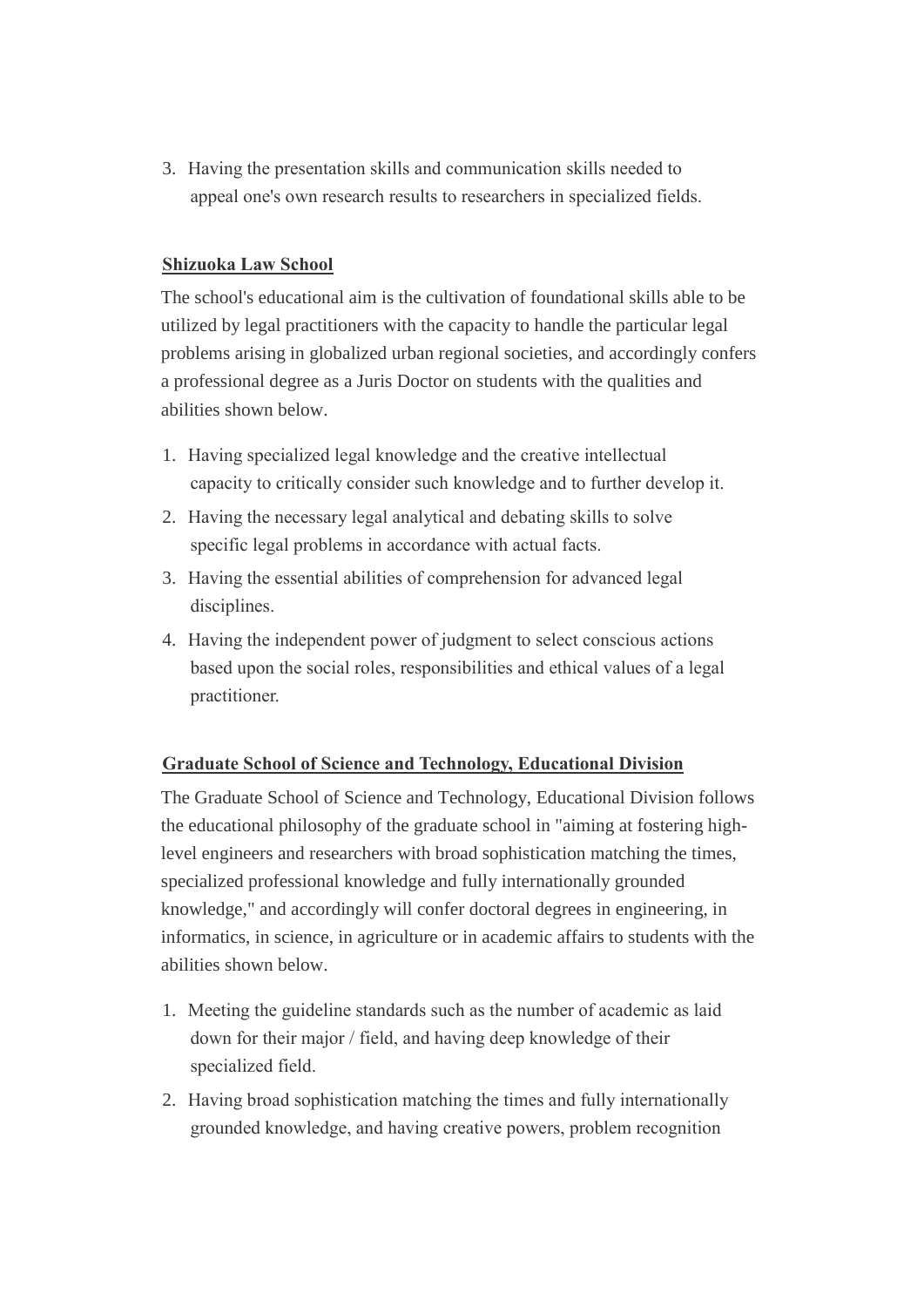3. Having the presentation skills and communication skills needed to appeal one's own research results to researchers in specialized fields.

## **Shizuoka Law School**

The school's educational aim is the cultivation of foundational skills able to be utilized by legal practitioners with the capacity to handle the particular legal problems arising in globalized urban regional societies, and accordingly confers a professional degree as a Juris Doctor on students with the qualities and abilities shown below.

- 1. Having specialized legal knowledge and the creative intellectual capacity to critically consider such knowledge and to further develop it.
- 2. Having the necessary legal analytical and debating skills to solve specific legal problems in accordance with actual facts.
- 3. Having the essential abilities of comprehension for advanced legal disciplines.
- 4. Having the independent power of judgment to select conscious actions based upon the social roles, responsibilities and ethical values of a legal practitioner.

## **Graduate School of Science and Technology, Educational Division**

The Graduate School of Science and Technology, Educational Division follows the educational philosophy of the graduate school in "aiming at fostering highlevel engineers and researchers with broad sophistication matching the times, specialized professional knowledge and fully internationally grounded knowledge," and accordingly will confer doctoral degrees in engineering, in informatics, in science, in agriculture or in academic affairs to students with the abilities shown below.

- 1. Meeting the guideline standards such as the number of academic as laid down for their major / field, and having deep knowledge of their specialized field.
- 2. Having broad sophistication matching the times and fully internationally grounded knowledge, and having creative powers, problem recognition